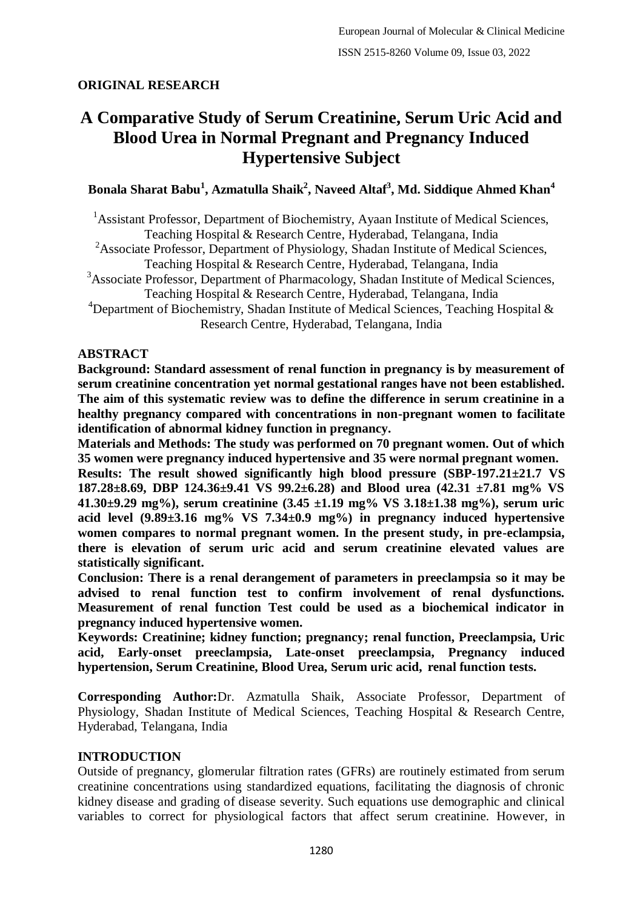### **ORIGINAL RESEARCH**

# **A Comparative Study of Serum Creatinine, Serum Uric Acid and Blood Urea in Normal Pregnant and Pregnancy Induced Hypertensive Subject**

### **Bonala Sharat Babu<sup>1</sup> , Azmatulla Shaik<sup>2</sup> , Naveed Altaf<sup>3</sup> , Md. Siddique Ahmed Khan<sup>4</sup>**

<sup>1</sup> Assistant Professor, Department of Biochemistry, Ayaan Institute of Medical Sciences, Teaching Hospital & Research Centre, Hyderabad, Telangana, India

<sup>2</sup>Associate Professor, Department of Physiology, Shadan Institute of Medical Sciences, Teaching Hospital & Research Centre, Hyderabad, Telangana, India

<sup>3</sup>Associate Professor, Department of Pharmacology, Shadan Institute of Medical Sciences,

Teaching Hospital & Research Centre, Hyderabad, Telangana, India

<sup>4</sup>Department of Biochemistry, Shadan Institute of Medical Sciences, Teaching Hospital  $\&$ Research Centre, Hyderabad, Telangana, India

#### **ABSTRACT**

**Background: Standard assessment of renal function in pregnancy is by measurement of serum creatinine concentration yet normal gestational ranges have not been established. The aim of this systematic review was to define the difference in serum creatinine in a healthy pregnancy compared with concentrations in non-pregnant women to facilitate identification of abnormal kidney function in pregnancy.**

**Materials and Methods: The study was performed on 70 pregnant women. Out of which 35 women were pregnancy induced hypertensive and 35 were normal pregnant women.**

**Results: The result showed significantly high blood pressure (SBP-197.21±21.7 VS 187.28±8.69, DBP 124.36±9.41 VS 99.2±6.28) and Blood urea (42.31 ±7.81 mg% VS 41.30±9.29 mg%), serum creatinine (3.45 ±1.19 mg% VS 3.18±1.38 mg%), serum uric acid level (9.89±3.16 mg% VS 7.34±0.9 mg%) in pregnancy induced hypertensive women compares to normal pregnant women. In the present study, in pre-eclampsia, there is elevation of serum uric acid and serum creatinine elevated values are statistically significant.**

**Conclusion: There is a renal derangement of parameters in preeclampsia so it may be advised to renal function test to confirm involvement of renal dysfunctions. Measurement of renal function Test could be used as a biochemical indicator in pregnancy induced hypertensive women.**

**Keywords: Creatinine; kidney function; pregnancy; renal function, Preeclampsia, Uric acid, Early-onset preeclampsia, Late-onset preeclampsia, Pregnancy induced hypertension, Serum Creatinine, Blood Urea, Serum uric acid, renal function tests.**

**Corresponding Author:**Dr. Azmatulla Shaik, Associate Professor, Department of Physiology, Shadan Institute of Medical Sciences, Teaching Hospital & Research Centre, Hyderabad, Telangana, India

#### **INTRODUCTION**

Outside of pregnancy, glomerular filtration rates (GFRs) are routinely estimated from serum creatinine concentrations using standardized equations, facilitating the diagnosis of chronic kidney disease and grading of disease severity. Such equations use demographic and clinical variables to correct for physiological factors that affect serum creatinine. However, in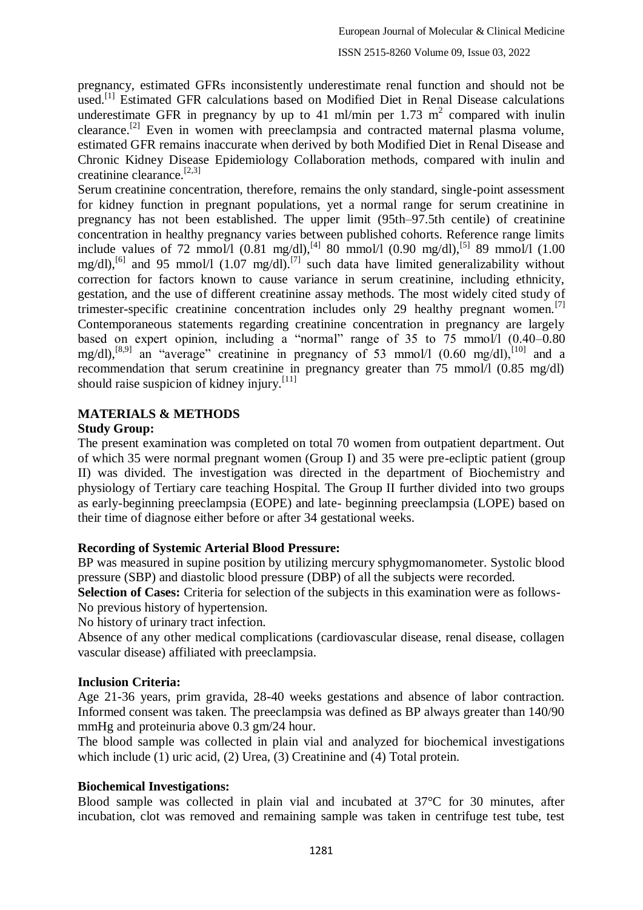pregnancy, estimated GFRs inconsistently underestimate renal function and should not be used.<sup>[1]</sup> Estimated GFR calculations based on Modified Diet in Renal Disease calculations underestimate GFR in pregnancy by up to 41 ml/min per 1.73  $m^2$  compared with inulin clearance.<sup>[2]</sup> Even in women with preeclampsia and contracted maternal plasma volume, estimated GFR remains inaccurate when derived by both Modified Diet in Renal Disease and Chronic Kidney Disease Epidemiology Collaboration methods, compared with inulin and creatinine clearance.<sup>[2,3]</sup>

Serum creatinine concentration, therefore, remains the only standard, single-point assessment for kidney function in pregnant populations, yet a normal range for serum creatinine in pregnancy has not been established. The upper limit (95th–97.5th centile) of creatinine concentration in healthy pregnancy varies between published cohorts. Reference range limits include values of 72 mmol/l  $(0.81 \text{ mg/dI})$ ,<sup>[4]</sup> 80 mmol/l  $(0.90 \text{ mg/dI})$ ,<sup>[5]</sup> 89 mmol/l  $(1.00 \text{ mJ})$ mg/dl),<sup>[6]</sup> and 95 mmol/l (1.07 mg/dl).<sup>[7]</sup> such data have limited generalizability without correction for factors known to cause variance in serum creatinine, including ethnicity, gestation, and the use of different creatinine assay methods. The most widely cited study of trimester-specific creatinine concentration includes only 29 healthy pregnant women.<sup>[7]</sup> Contemporaneous statements regarding creatinine concentration in pregnancy are largely based on expert opinion, including a "normal" range of 35 to  $75 \text{ mmol/l}$  (0.40–0.80) mg/dl),<sup>[8,9]</sup> an "average" creatinine in pregnancy of 53 mmol/l  $(0.60 \text{ mg/dl})$ ,  $[10]$  and a recommendation that serum creatinine in pregnancy greater than 75 mmol/l (0.85 mg/dl) should raise suspicion of kidney injury.[11]

## **MATERIALS & METHODS**

### **Study Group:**

The present examination was completed on total 70 women from outpatient department. Out of which 35 were normal pregnant women (Group I) and 35 were pre-ecliptic patient (group II) was divided. The investigation was directed in the department of Biochemistry and physiology of Tertiary care teaching Hospital. The Group II further divided into two groups as early-beginning preeclampsia (EOPE) and late- beginning preeclampsia (LOPE) based on their time of diagnose either before or after 34 gestational weeks.

### **Recording of Systemic Arterial Blood Pressure:**

BP was measured in supine position by utilizing mercury sphygmomanometer. Systolic blood pressure (SBP) and diastolic blood pressure (DBP) of all the subjects were recorded.

**Selection of Cases:** Criteria for selection of the subjects in this examination were as follows-No previous history of hypertension.

No history of urinary tract infection.

Absence of any other medical complications (cardiovascular disease, renal disease, collagen vascular disease) affiliated with preeclampsia.

### **Inclusion Criteria:**

Age 21-36 years, prim gravida, 28-40 weeks gestations and absence of labor contraction. Informed consent was taken. The preeclampsia was defined as BP always greater than 140/90 mmHg and proteinuria above 0.3 gm/24 hour.

The blood sample was collected in plain vial and analyzed for biochemical investigations which include (1) uric acid, (2) Urea, (3) Creatinine and (4) Total protein.

### **Biochemical Investigations:**

Blood sample was collected in plain vial and incubated at 37°C for 30 minutes, after incubation, clot was removed and remaining sample was taken in centrifuge test tube, test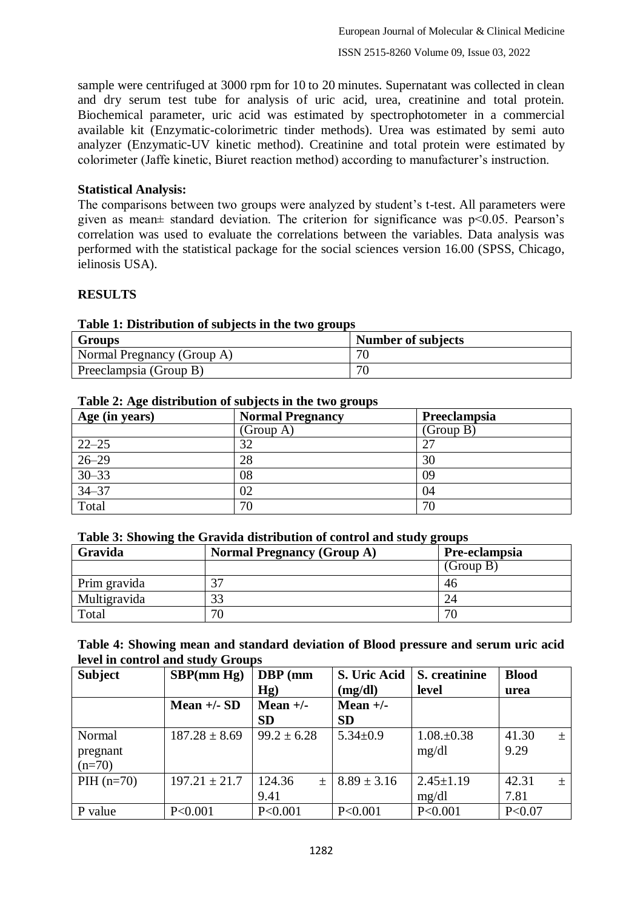sample were centrifuged at 3000 rpm for 10 to 20 minutes. Supernatant was collected in clean and dry serum test tube for analysis of uric acid, urea, creatinine and total protein. Biochemical parameter, uric acid was estimated by spectrophotometer in a commercial available kit (Enzymatic-colorimetric tinder methods). Urea was estimated by semi auto analyzer (Enzymatic-UV kinetic method). Creatinine and total protein were estimated by colorimeter (Jaffe kinetic, Biuret reaction method) according to manufacturer's instruction.

#### **Statistical Analysis:**

The comparisons between two groups were analyzed by student's t-test. All parameters were given as mean± standard deviation. The criterion for significance was p<0.05. Pearson's correlation was used to evaluate the correlations between the variables. Data analysis was performed with the statistical package for the social sciences version 16.00 (SPSS, Chicago, ielinosis USA).

#### **RESULTS**

| <b>Table 1: Distribution of subjects in the two groups</b> |                           |  |  |  |  |
|------------------------------------------------------------|---------------------------|--|--|--|--|
| Groups                                                     | <b>Number of subjects</b> |  |  |  |  |
| Normal Pregnancy (Group A)                                 | 70                        |  |  |  |  |
| Preeclampsia (Group B)                                     | 70                        |  |  |  |  |

### **Table 1: Distribution of subjects in the two groups**

#### **Table 2: Age distribution of subjects in the two groups**

| Age (in years) | <b>Normal Pregnancy</b> | Preeclampsia |
|----------------|-------------------------|--------------|
|                | (Group A)               | (Group B)    |
| $22 - 25$      | 32                      | 27           |
| $26 - 29$      | 28                      | 30           |
| $30 - 33$      | 08                      | 09           |
| $34 - 37$      | 02                      | 04           |
| Total          | 70                      | 70           |

#### **Table 3: Showing the Gravida distribution of control and study groups**

| ີ<br>Gravida | . .<br><b>Normal Pregnancy (Group A)</b> | Pre-eclampsia |  |
|--------------|------------------------------------------|---------------|--|
|              |                                          | (Group B)     |  |
| Prim gravida |                                          | 46            |  |
| Multigravida |                                          | 24            |  |
| Total        | 70                                       | 70            |  |

#### **Table 4: Showing mean and standard deviation of Blood pressure and serum uric acid level in control and study Groups**

| <b>Subject</b> | SBP(mm Hg)        | <b>DBP</b> (mm            | S. Uric Acid    | S. creatinine   | <b>Blood</b>   |
|----------------|-------------------|---------------------------|-----------------|-----------------|----------------|
|                |                   | Hg)                       | (mg/dl)         | level           | urea           |
|                | Mean $+/-$ SD     | Mean $+/-$                | Mean $+/-$      |                 |                |
|                |                   | <b>SD</b>                 | <b>SD</b>       |                 |                |
| Normal         | $187.28 \pm 8.69$ | $99.2 \pm 6.28$           | $5.34 \pm 0.9$  | $1.08 \pm 0.38$ | 41.30<br>土     |
| pregnant       |                   |                           |                 | mg/dl           | 9.29           |
| $(n=70)$       |                   |                           |                 |                 |                |
| $PH (n=70)$    | $197.21 \pm 21.7$ | 124.36<br>$\! + \!\!\!\!$ | $8.89 \pm 3.16$ | $2.45 \pm 1.19$ | 42.31<br>$\pm$ |
|                |                   | 9.41                      |                 | mg/dl           | 7.81           |
| P value        | P<0.001           | P<0.001                   | P < 0.001       | P<0.001         | P < 0.07       |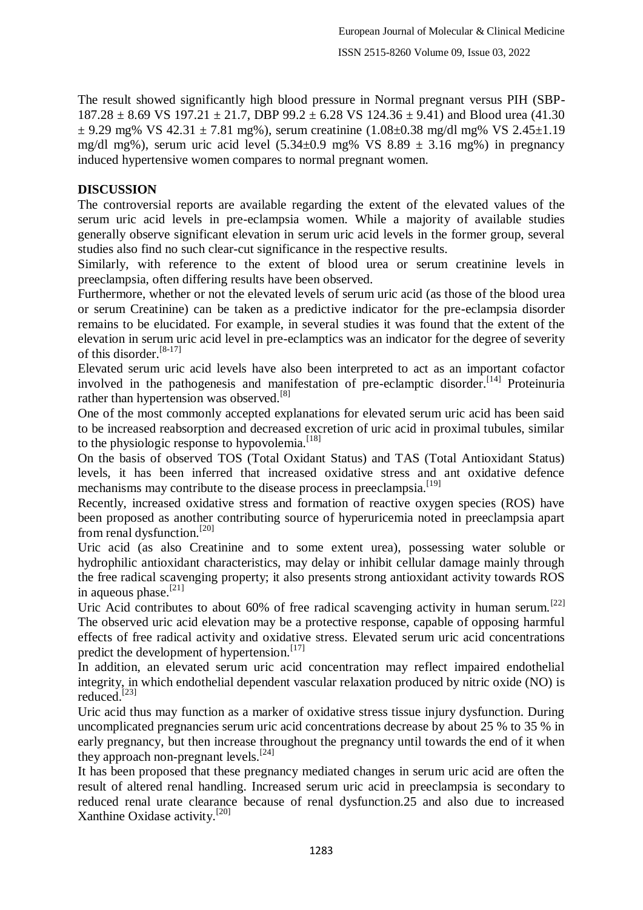The result showed significantly high blood pressure in Normal pregnant versus PIH (SBP- $187.28 \pm 8.69$  VS  $197.21 \pm 21.7$ , DBP  $99.2 \pm 6.28$  VS  $124.36 \pm 9.41$ ) and Blood urea (41.30)  $\pm$  9.29 mg% VS 42.31  $\pm$  7.81 mg%), serum creatinine (1.08 $\pm$ 0.38 mg/dl mg% VS 2.45 $\pm$ 1.19 mg/dl mg%), serum uric acid level  $(5.34 \pm 0.9 \text{ mg% VS } 8.89 \pm 3.16 \text{ mg%})$  in pregnancy induced hypertensive women compares to normal pregnant women.

### **DISCUSSION**

The controversial reports are available regarding the extent of the elevated values of the serum uric acid levels in pre-eclampsia women. While a majority of available studies generally observe significant elevation in serum uric acid levels in the former group, several studies also find no such clear-cut significance in the respective results.

Similarly, with reference to the extent of blood urea or serum creatinine levels in preeclampsia, often differing results have been observed.

Furthermore, whether or not the elevated levels of serum uric acid (as those of the blood urea or serum Creatinine) can be taken as a predictive indicator for the pre-eclampsia disorder remains to be elucidated. For example, in several studies it was found that the extent of the elevation in serum uric acid level in pre-eclamptics was an indicator for the degree of severity of this disorder.[8-17]

Elevated serum uric acid levels have also been interpreted to act as an important cofactor involved in the pathogenesis and manifestation of pre-eclamptic disorder.[14] Proteinuria rather than hypertension was observed.<sup>[8]</sup>

One of the most commonly accepted explanations for elevated serum uric acid has been said to be increased reabsorption and decreased excretion of uric acid in proximal tubules, similar to the physiologic response to hypovolemia.<sup>[18]</sup>

On the basis of observed TOS (Total Oxidant Status) and TAS (Total Antioxidant Status) levels, it has been inferred that increased oxidative stress and ant oxidative defence mechanisms may contribute to the disease process in preeclampsia.<sup>[19]</sup>

Recently, increased oxidative stress and formation of reactive oxygen species (ROS) have been proposed as another contributing source of hyperuricemia noted in preeclampsia apart from renal dysfunction.[20]

Uric acid (as also Creatinine and to some extent urea), possessing water soluble or hydrophilic antioxidant characteristics, may delay or inhibit cellular damage mainly through the free radical scavenging property; it also presents strong antioxidant activity towards ROS in aqueous phase.<sup>[21]</sup>

Uric Acid contributes to about 60% of free radical scavenging activity in human serum.<sup>[22]</sup> The observed uric acid elevation may be a protective response, capable of opposing harmful effects of free radical activity and oxidative stress. Elevated serum uric acid concentrations predict the development of hypertension.<sup>[17]</sup>

In addition, an elevated serum uric acid concentration may reflect impaired endothelial integrity, in which endothelial dependent vascular relaxation produced by nitric oxide (NO) is reduced.[23]

Uric acid thus may function as a marker of oxidative stress tissue injury dysfunction. During uncomplicated pregnancies serum uric acid concentrations decrease by about 25 % to 35 % in early pregnancy, but then increase throughout the pregnancy until towards the end of it when they approach non-pregnant levels.<sup>[24]</sup>

It has been proposed that these pregnancy mediated changes in serum uric acid are often the result of altered renal handling. Increased serum uric acid in preeclampsia is secondary to reduced renal urate clearance because of renal dysfunction.25 and also due to increased Xanthine Oxidase activity.[20]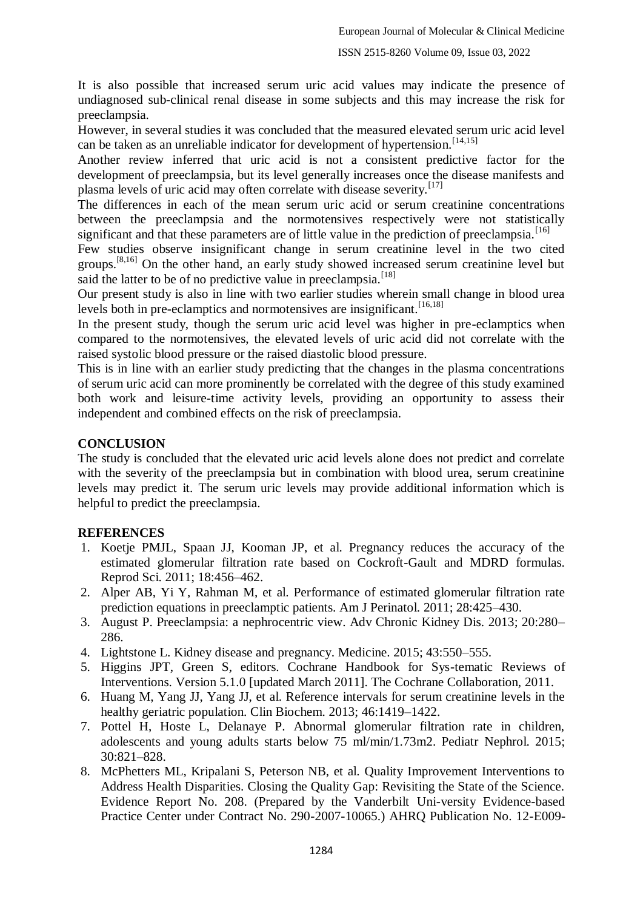#### ISSN 2515-8260 Volume 09, Issue 03, 2022

It is also possible that increased serum uric acid values may indicate the presence of undiagnosed sub-clinical renal disease in some subjects and this may increase the risk for preeclampsia.

However, in several studies it was concluded that the measured elevated serum uric acid level can be taken as an unreliable indicator for development of hypertension.<sup>[14,15]</sup>

Another review inferred that uric acid is not a consistent predictive factor for the development of preeclampsia, but its level generally increases once the disease manifests and plasma levels of uric acid may often correlate with disease severity.<sup>[17]</sup>

The differences in each of the mean serum uric acid or serum creatinine concentrations between the preeclampsia and the normotensives respectively were not statistically significant and that these parameters are of little value in the prediction of preeclampsia.<sup>[16]</sup>

Few studies observe insignificant change in serum creatinine level in the two cited groups.[8,16] On the other hand, an early study showed increased serum creatinine level but said the latter to be of no predictive value in preeclampsia.<sup>[18]</sup>

Our present study is also in line with two earlier studies wherein small change in blood urea levels both in pre-eclamptics and normotensives are insignificant.<sup>[16,18]</sup>

In the present study, though the serum uric acid level was higher in pre-eclamptics when compared to the normotensives, the elevated levels of uric acid did not correlate with the raised systolic blood pressure or the raised diastolic blood pressure.

This is in line with an earlier study predicting that the changes in the plasma concentrations of serum uric acid can more prominently be correlated with the degree of this study examined both work and leisure-time activity levels, providing an opportunity to assess their independent and combined effects on the risk of preeclampsia.

#### **CONCLUSION**

The study is concluded that the elevated uric acid levels alone does not predict and correlate with the severity of the preeclampsia but in combination with blood urea, serum creatinine levels may predict it. The serum uric levels may provide additional information which is helpful to predict the preeclampsia.

#### **REFERENCES**

- 1. Koetje PMJL, Spaan JJ, Kooman JP, et al. Pregnancy reduces the accuracy of the estimated glomerular filtration rate based on Cockroft-Gault and MDRD formulas. Reprod Sci. 2011; 18:456–462.
- 2. Alper AB, Yi Y, Rahman M, et al. Performance of estimated glomerular filtration rate prediction equations in preeclamptic patients. Am J Perinatol. 2011; 28:425–430.
- 3. August P. Preeclampsia: a nephrocentric view. Adv Chronic Kidney Dis. 2013; 20:280– 286.
- 4. Lightstone L. Kidney disease and pregnancy. Medicine. 2015; 43:550–555.
- 5. Higgins JPT, Green S, editors. Cochrane Handbook for Sys-tematic Reviews of Interventions. Version 5.1.0 [updated March 2011]. The Cochrane Collaboration, 2011.
- 6. Huang M, Yang JJ, Yang JJ, et al. Reference intervals for serum creatinine levels in the healthy geriatric population. Clin Biochem. 2013; 46:1419–1422.
- 7. Pottel H, Hoste L, Delanaye P. Abnormal glomerular filtration rate in children, adolescents and young adults starts below 75 ml/min/1.73m2. Pediatr Nephrol. 2015; 30:821–828.
- 8. McPhetters ML, Kripalani S, Peterson NB, et al. Quality Improvement Interventions to Address Health Disparities. Closing the Quality Gap: Revisiting the State of the Science. Evidence Report No. 208. (Prepared by the Vanderbilt Uni-versity Evidence-based Practice Center under Contract No. 290-2007-10065.) AHRQ Publication No. 12-E009-